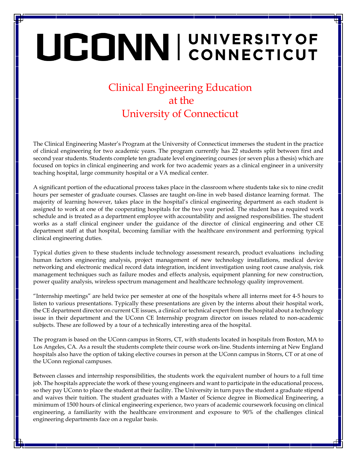## UCONNI CONNECTICUT

## Clinical Engineering Education at the University of Connecticut

The Clinical Engineering Master's Program at the University of Connecticut immerses the student in the practice of clinical engineering for two academic years. The program currently has 22 students split between first and second year students. Students complete ten graduate level engineering courses (or seven plus a thesis) which are focused on topics in clinical engineering and work for two academic years as a clinical engineer in a university teaching hospital, large community hospital or a VA medical center.

A significant portion of the educational process takes place in the classroom where students take six to nine credit hours per semester of graduate courses. Classes are taught on-line in web based distance learning format. The majority of learning however, takes place in the hospital's clinical engineering department as each student is assigned to work at one of the cooperating hospitals for the two year period. The student has a required work schedule and is treated as a department employee with accountability and assigned responsibilities. The student works as a staff clinical engineer under the guidance of the director of clinical engineering and other CE department staff at that hospital, becoming familiar with the healthcare environment and performing typical clinical engineering duties.

Typical duties given to these students include technology assessment research, product evaluations including human factors engineering analysis, project management of new technology installations, medical device networking and electronic medical record data integration, incident investigation using root cause analysis, risk management techniques such as failure modes and effects analysis, equipment planning for new construction, power quality analysis, wireless spectrum management and healthcare technology quality improvement.

"Internship meetings" are held twice per semester at one of the hospitals where all interns meet for 4-5 hours to listen to various presentations. Typically these presentations are given by the interns about their hospital work, the CE department director on current CE issues, a clinical or technical expert from the hospital about a technology issue in their department and the UConn CE Internship program director on issues related to non-academic subjects. These are followed by a tour of a technically interesting area of the hospital.

The program is based on the UConn campus in Storrs, CT, with students located in hospitals from Boston, MA to Los Angeles, CA. As a result the students complete their course work on-line. Students interning at New England hospitals also have the option of taking elective courses in person at the UConn campus in Storrs, CT or at one of the UConn regional campuses.

Between classes and internship responsibilities, the students work the equivalent number of hours to a full time job. The hospitals appreciate the work of these young engineers and want to participate in the educational process, so they pay UConn to place the student at their facility. The University in turn pays the student a graduate stipend and waives their tuition. The student graduates with a Master of Science degree in Biomedical Engineering, a minimum of 1500 hours of clinical engineering experience, two years of academic coursework focusing on clinical engineering, a familiarity with the healthcare environment and exposure to 90% of the challenges clinical engineering departments face on a regular basis.